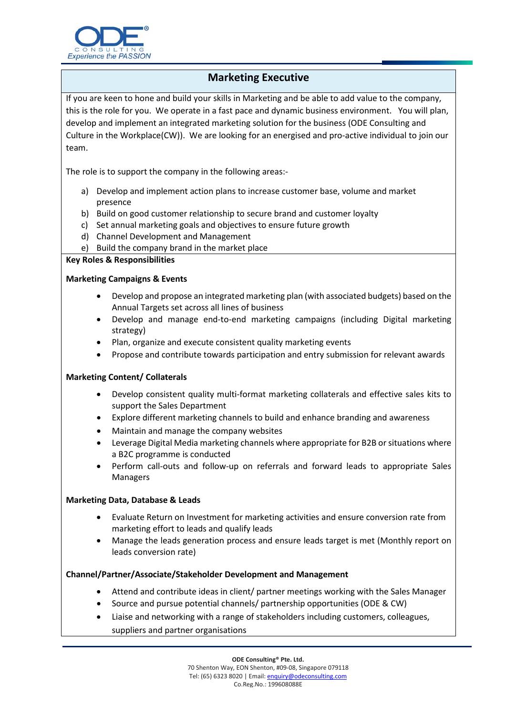

# **Marketing Executive**

If you are keen to hone and build your skills in Marketing and be able to add value to the company, this is the role for you. We operate in a fast pace and dynamic business environment. You will plan, develop and implement an integrated marketing solution for the business (ODE Consulting and Culture in the Workplace(CW)). We are looking for an energised and pro-active individual to join our team.

The role is to support the company in the following areas:-

- a) Develop and implement action plans to increase customer base, volume and market presence
- b) Build on good customer relationship to secure brand and customer loyalty
- c) Set annual marketing goals and objectives to ensure future growth
- d) Channel Development and Management
- e) Build the company brand in the market place

#### **Key Roles & Responsibilities**

### **Marketing Campaigns & Events**

- Develop and propose an integrated marketing plan (with associated budgets) based on the Annual Targets set across all lines of business
- Develop and manage end-to-end marketing campaigns (including Digital marketing strategy)
- Plan, organize and execute consistent quality marketing events
- Propose and contribute towards participation and entry submission for relevant awards

#### **Marketing Content/ Collaterals**

- Develop consistent quality multi-format marketing collaterals and effective sales kits to support the Sales Department
- Explore different marketing channels to build and enhance branding and awareness
- Maintain and manage the company websites
- Leverage Digital Media marketing channels where appropriate for B2B or situations where a B2C programme is conducted
- Perform call-outs and follow-up on referrals and forward leads to appropriate Sales Managers

#### **Marketing Data, Database & Leads**

- Evaluate Return on Investment for marketing activities and ensure conversion rate from marketing effort to leads and qualify leads
- Manage the leads generation process and ensure leads target is met (Monthly report on leads conversion rate)

#### **Channel/Partner/Associate/Stakeholder Development and Management**

- Attend and contribute ideas in client/ partner meetings working with the Sales Manager
- Source and pursue potential channels/ partnership opportunities (ODE & CW)
- Liaise and networking with a range of stakeholders including customers, colleagues, suppliers and partner organisations